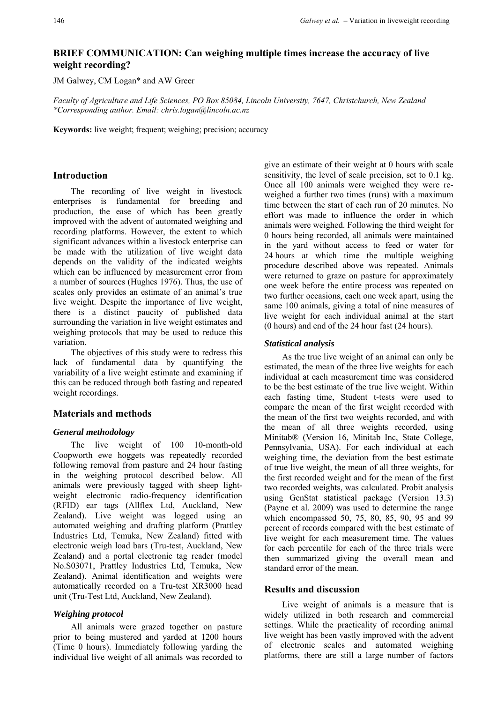# **BRIEF COMMUNICATION: Can weighing multiple times increase the accuracy of live weight recording?**

JM Galwey, CM Logan\* and AW Greer

*Faculty of Agriculture and Life Sciences, PO Box 85084, Lincoln University, 7647, Christchurch, New Zealand \*Corresponding author. Email: chris.logan@lincoln.ac.nz* 

**Keywords:** live weight; frequent; weighing; precision; accuracy

### **Introduction**

The recording of live weight in livestock enterprises is fundamental for breeding and production, the ease of which has been greatly improved with the advent of automated weighing and recording platforms. However, the extent to which significant advances within a livestock enterprise can be made with the utilization of live weight data depends on the validity of the indicated weights which can be influenced by measurement error from a number of sources (Hughes 1976). Thus, the use of scales only provides an estimate of an animal's true live weight. Despite the importance of live weight, there is a distinct paucity of published data surrounding the variation in live weight estimates and weighing protocols that may be used to reduce this variation.

The objectives of this study were to redress this lack of fundamental data by quantifying the variability of a live weight estimate and examining if this can be reduced through both fasting and repeated weight recordings.

## **Materials and methods**

### *General methodology*

The live weight of 100 10-month-old Coopworth ewe hoggets was repeatedly recorded following removal from pasture and 24 hour fasting in the weighing protocol described below. All animals were previously tagged with sheep lightweight electronic radio-frequency identification (RFID) ear tags (Allflex Ltd, Auckland, New Zealand). Live weight was logged using an automated weighing and drafting platform (Prattley Industries Ltd, Temuka, New Zealand) fitted with electronic weigh load bars (Tru-test, Auckland, New Zealand) and a portal electronic tag reader (model No.S03071, Prattley Industries Ltd, Temuka, New Zealand). Animal identification and weights were automatically recorded on a Tru-test XR3000 head unit (Tru-Test Ltd, Auckland, New Zealand).

## *Weighing protocol*

All animals were grazed together on pasture prior to being mustered and yarded at 1200 hours (Time 0 hours). Immediately following yarding the individual live weight of all animals was recorded to

give an estimate of their weight at 0 hours with scale sensitivity, the level of scale precision, set to 0.1 kg. Once all 100 animals were weighed they were reweighed a further two times (runs) with a maximum time between the start of each run of 20 minutes. No effort was made to influence the order in which animals were weighed. Following the third weight for 0 hours being recorded, all animals were maintained in the yard without access to feed or water for 24 hours at which time the multiple weighing procedure described above was repeated. Animals were returned to graze on pasture for approximately one week before the entire process was repeated on two further occasions, each one week apart, using the same 100 animals, giving a total of nine measures of live weight for each individual animal at the start (0 hours) and end of the 24 hour fast (24 hours).

### *Statistical analysis*

As the true live weight of an animal can only be estimated, the mean of the three live weights for each individual at each measurement time was considered to be the best estimate of the true live weight. Within each fasting time, Student t-tests were used to compare the mean of the first weight recorded with the mean of the first two weights recorded, and with the mean of all three weights recorded, using Minitab® (Version 16, Minitab Inc, State College, Pennsylvania, USA). For each individual at each weighing time, the deviation from the best estimate of true live weight, the mean of all three weights, for the first recorded weight and for the mean of the first two recorded weights, was calculated. Probit analysis using GenStat statistical package (Version 13.3) (Payne et al. 2009) was used to determine the range which encompassed 50, 75, 80, 85, 90, 95 and 99 percent of records compared with the best estimate of live weight for each measurement time. The values for each percentile for each of the three trials were then summarized giving the overall mean and standard error of the mean.

# **Results and discussion**

Live weight of animals is a measure that is widely utilized in both research and commercial settings. While the practicality of recording animal live weight has been vastly improved with the advent of electronic scales and automated weighing platforms, there are still a large number of factors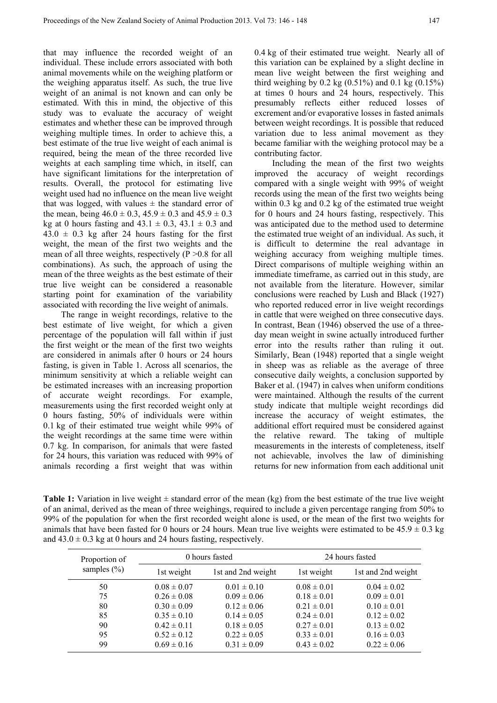that may influence the recorded weight of an individual. These include errors associated with both animal movements while on the weighing platform or the weighing apparatus itself. As such, the true live weight of an animal is not known and can only be estimated. With this in mind, the objective of this study was to evaluate the accuracy of weight estimates and whether these can be improved through weighing multiple times. In order to achieve this, a best estimate of the true live weight of each animal is required, being the mean of the three recorded live weights at each sampling time which, in itself, can have significant limitations for the interpretation of results. Overall, the protocol for estimating live weight used had no influence on the mean live weight that was logged, with values  $\pm$  the standard error of the mean, being  $46.0 \pm 0.3$ ,  $45.9 \pm 0.3$  and  $45.9 \pm 0.3$ kg at 0 hours fasting and  $43.1 \pm 0.3$ ,  $43.1 \pm 0.3$  and  $43.0 \pm 0.3$  kg after 24 hours fasting for the first weight, the mean of the first two weights and the mean of all three weights, respectively  $(P > 0.8$  for all combinations). As such, the approach of using the mean of the three weights as the best estimate of their true live weight can be considered a reasonable starting point for examination of the variability associated with recording the live weight of animals.

The range in weight recordings, relative to the best estimate of live weight, for which a given percentage of the population will fall within if just the first weight or the mean of the first two weights are considered in animals after 0 hours or 24 hours fasting, is given in Table 1. Across all scenarios, the minimum sensitivity at which a reliable weight can be estimated increases with an increasing proportion of accurate weight recordings. For example, measurements using the first recorded weight only at 0 hours fasting, 50% of individuals were within 0.1 kg of their estimated true weight while 99% of the weight recordings at the same time were within 0.7 kg. In comparison, for animals that were fasted for 24 hours, this variation was reduced with 99% of animals recording a first weight that was within

0.4 kg of their estimated true weight. Nearly all of this variation can be explained by a slight decline in mean live weight between the first weighing and third weighing by 0.2 kg  $(0.51\%)$  and 0.1 kg  $(0.15\%)$ at times 0 hours and 24 hours, respectively. This presumably reflects either reduced losses of excrement and/or evaporative losses in fasted animals between weight recordings. It is possible that reduced variation due to less animal movement as they became familiar with the weighing protocol may be a contributing factor.

Including the mean of the first two weights improved the accuracy of weight recordings compared with a single weight with 99% of weight records using the mean of the first two weights being within 0.3 kg and 0.2 kg of the estimated true weight for 0 hours and 24 hours fasting, respectively. This was anticipated due to the method used to determine the estimated true weight of an individual. As such, it is difficult to determine the real advantage in weighing accuracy from weighing multiple times. Direct comparisons of multiple weighing within an immediate timeframe, as carried out in this study, are not available from the literature. However, similar conclusions were reached by Lush and Black (1927) who reported reduced error in live weight recordings in cattle that were weighed on three consecutive days. In contrast, Bean (1946) observed the use of a threeday mean weight in swine actually introduced further error into the results rather than ruling it out. Similarly, Bean (1948) reported that a single weight in sheep was as reliable as the average of three consecutive daily weights, a conclusion supported by Baker et al. (1947) in calves when uniform conditions were maintained. Although the results of the current study indicate that multiple weight recordings did increase the accuracy of weight estimates, the additional effort required must be considered against the relative reward. The taking of multiple measurements in the interests of completeness, itself not achievable, involves the law of diminishing returns for new information from each additional unit

**Table 1:** Variation in live weight  $\pm$  standard error of the mean (kg) from the best estimate of the true live weight of an animal, derived as the mean of three weighings, required to include a given percentage ranging from 50% to 99% of the population for when the first recorded weight alone is used, or the mean of the first two weights for animals that have been fasted for 0 hours or 24 hours. Mean true live weights were estimated to be  $45.9 \pm 0.3$  kg and  $43.0 \pm 0.3$  kg at 0 hours and 24 hours fasting, respectively.

| Proportion of<br>samples $(\% )$ | 0 hours fasted  |                    | 24 hours fasted |                    |
|----------------------------------|-----------------|--------------------|-----------------|--------------------|
|                                  | 1st weight      | 1st and 2nd weight | 1st weight      | 1st and 2nd weight |
| 50                               | $0.08 \pm 0.07$ | $0.01 \pm 0.10$    | $0.08 \pm 0.01$ | $0.04 \pm 0.02$    |
| 75                               | $0.26 \pm 0.08$ | $0.09 \pm 0.06$    | $0.18 \pm 0.01$ | $0.09 \pm 0.01$    |
| 80                               | $0.30 \pm 0.09$ | $0.12 \pm 0.06$    | $0.21 \pm 0.01$ | $0.10 \pm 0.01$    |
| 85                               | $0.35 \pm 0.10$ | $0.14 \pm 0.05$    | $0.24 \pm 0.01$ | $0.12 \pm 0.02$    |
| 90                               | $0.42 \pm 0.11$ | $0.18 \pm 0.05$    | $0.27 \pm 0.01$ | $0.13 \pm 0.02$    |
| 95                               | $0.52 \pm 0.12$ | $0.22 \pm 0.05$    | $0.33 \pm 0.01$ | $0.16 \pm 0.03$    |
| 99                               | $0.69 \pm 0.16$ | $0.31 \pm 0.09$    | $0.43 \pm 0.02$ | $0.22 \pm 0.06$    |